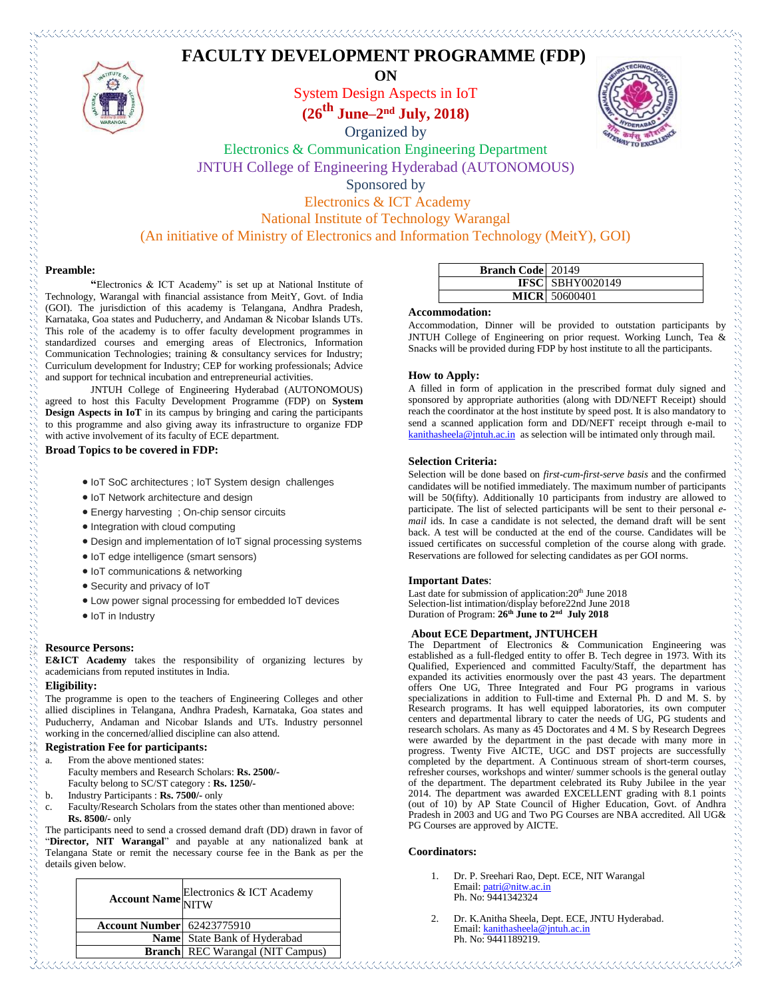# **FACULTY DEVELOPMENT PROGRAMME (FDP)**



**ON** System Design Aspects in IoT **(26 th June–2 nd July, 2018)**

Organized by



Electronics & Communication Engineering Department JNTUH College of Engineering Hyderabad (AUTONOMOUS) Sponsored by

Electronics & ICT Academy

National Institute of Technology Warangal

(An initiative of Ministry of Electronics and Information Technology (MeitY), GOI)

## **Preamble:**

つうこう こうこうこう こうこうこう こうこうこう

**"**Electronics & ICT Academy" is set up at National Institute of Technology, Warangal with financial assistance from MeitY, Govt. of India (GOI). The jurisdiction of this academy is Telangana, Andhra Pradesh, Karnataka, Goa states and Puducherry, and Andaman & Nicobar Islands UTs. This role of the academy is to offer faculty development programmes in standardized courses and emerging areas of Electronics, Information Communication Technologies; training & consultancy services for Industry; Curriculum development for Industry; CEP for working professionals; Advice and support for technical incubation and entrepreneurial activities.

JNTUH College of Engineering Hyderabad (AUTONOMOUS) agreed to host this Faculty Development Programme (FDP) on **System Design Aspects in IoT** in its campus by bringing and caring the participants to this programme and also giving away its infrastructure to organize FDP with active involvement of its faculty of ECE department.

**Broad Topics to be covered in FDP:**

- IoT SoC architectures ; IoT System design challenges
- IoT Network architecture and design
- Energy harvesting ; On-chip sensor circuits
- Integration with cloud computing
- Design and implementation of IoT signal processing systems
- IoT edge intelligence (smart sensors)
- IoT communications & networking
- Security and privacy of IoT
- Low power signal processing for embedded IoT devices
- IoT in Industry

## **Resource Persons:**

**E&ICT Academy** takes the responsibility of organizing lectures by academicians from reputed institutes in India.

#### **Eligibility:**

The programme is open to the teachers of Engineering Colleges and other allied disciplines in Telangana, Andhra Pradesh, Karnataka, Goa states and Puducherry, Andaman and Nicobar Islands and UTs. Industry personnel working in the concerned/allied discipline can also attend.

#### **Registration Fee for participants:**

- a. From the above mentioned states: Faculty members and Research Scholars: **Rs. 2500/-** Faculty belong to SC/ST category : **Rs. 1250/-**
- b. Industry Participants : **Rs. 7500/-** only
- c. Faculty/Research Scholars from the states other than mentioned above: **Rs. 8500/-** only

The participants need to send a crossed demand draft (DD) drawn in favor of "**Director, NIT Warangal**" and payable at any nationalized bank at Telangana State or remit the necessary course fee in the Bank as per the details given below.

|                                   | <b>Account Name</b> Electronics & ICT Academy |
|-----------------------------------|-----------------------------------------------|
| <b>Account Number</b> 62423775910 |                                               |
|                                   | Name State Bank of Hyderabad                  |
|                                   | <b>Branch</b> REC Warangal (NIT Campus)       |

| <b>Branch Code</b> 20149 |                         |
|--------------------------|-------------------------|
|                          | <b>IFSC</b> SBHY0020149 |
|                          | <b>MICR</b> 50600401    |
|                          |                         |

## **Accommodation:**

Accommodation, Dinner will be provided to outstation participants by JNTUH College of Engineering on prior request. Working Lunch, Tea & Snacks will be provided during FDP by host institute to all the participants.

## **How to Apply:**

A filled in form of application in the prescribed format duly signed and sponsored by appropriate authorities (along with DD/NEFT Receipt) should reach the coordinator at the host institute by speed post. It is also mandatory to send a scanned application form and DD/NEFT receipt through e-mail to [kanithasheela@jntuh.ac.in](mailto:kanithasheela@jntuh.ac.in) as selection will be intimated only through mail.

#### **Selection Criteria:**

Selection will be done based on *first-cum-first-serve basis* and the confirmed candidates will be notified immediately. The maximum number of participants will be 50(fifty). Additionally 10 participants from industry are allowed to participate. The list of selected participants will be sent to their personal *email* ids. In case a candidate is not selected, the demand draft will be sent back. A test will be conducted at the end of the course. Candidates will be issued certificates on successful completion of the course along with grade. Reservations are followed for selecting candidates as per GOI norms.

#### **Important Dates**:

Last date for submission of application: 20<sup>th</sup> June 2018 Selection-list intimation/display before22nd June 2018 Duration of Program: **26th June to 2 nd July 2018**

# **About ECE Department, JNTUHCEH**

The Department of Electronics & Communication Engineering was established as a full-fledged entity to offer B. Tech degree in 1973. With its Qualified, Experienced and committed Faculty/Staff, the department has expanded its activities enormously over the past 43 years. The department offers One UG, Three Integrated and Four PG programs in various specializations in addition to Full-time and External Ph. D and M. S. by Research programs. It has well equipped laboratories, its own computer centers and departmental library to cater the needs of UG, PG students and research scholars. As many as 45 Doctorates and 4 M. S by Research Degrees were awarded by the department in the past decade with many more in progress. Twenty Five AICTE, UGC and DST projects are successfully completed by the department. A Continuous stream of short-term courses, refresher courses, workshops and winter/ summer schools is the general outlay of the department. The department celebrated its Ruby Jubilee in the year 2014. The department was awarded EXCELLENT grading with 8.1 points (out of 10) by AP State Council of Higher Education, Govt. of Andhra Pradesh in 2003 and UG and Two PG Courses are NBA accredited. All UG& PG Courses are approved by AICTE.

#### **Coordinators:**

- 1. Dr. P. Sreehari Rao, Dept. ECE, NIT Warangal Email: [patri@nitw.ac.in](mailto:patri@nitw.ac.in) Ph. No: 9441342324
- 2. Dr. K.Anitha Sheela, Dept. ECE, JNTU Hyderabad. Email[: kanithasheela@jntuh.ac.in](mailto:kanithasheela@jntuh.ac.in) Ph. No: 9441189219.